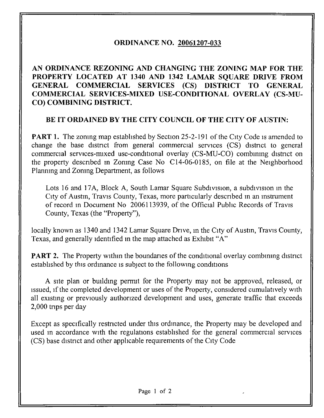## ORDINANCE NO. 20061207-033

AN ORDINANCE REZONING AND CHANGING THE ZONING MAP FOR THE PROPERTY LOCATED AT 1340 AND 1342 LAMAR SQUARE DRIVE FROM GENERAL COMMERCIAL SERVICES (CS) DISTRICT TO GENERAL COMMERCIAL SERVICES-MIXED USE-CONDITIONAL OVERLAY (CS-MU-CO) COMBINING DISTRICT.

## BE IT ORDAINED BY THE CITY COUNCIL OF THE CITY OF AUSTIN:

**PART 1.** The zoning map established by Section 25-2-191 of the City Code is amended to change the base district from general commercial services (CS) district to general commercial services-mixed use-conditional overlay (CS-MU-CO) combining district on the property descnbed in Zoning Case No C14-06-0185, on file at the Neighborhood Planning and Zoning Department, as follows

Lots 16 and 17A, Block A, South Lamar Square Subdivision, a subdivision in the City of Austin, Travis County, Texas, more particularly descnbed m an instrument of record m Document No 2006113939, of the Official Public Records of Travis County, Texas (the "Property"),

locally known as 1340 and 1342 Lamar Square Drive, in the City of Austin, Travis County, Texas, and generally identified in the map attached as Exhibit "A"

**PART 2.** The Property within the boundaries of the conditional overlay combining district established by this ordinance is subject to the following conditions

A site plan or building permit for the Property may not be approved, released, or issued, if the completed development or uses of the Property, considered cumulatively with all existing or previously authorized development and uses, generate traffic that exceeds 2,000 trips per day

Except as specifically restricted under this ordinance, the Property may be developed and used m accordance with the regulations established for the general commercial services (CS) base district and other applicable requirements of the City Code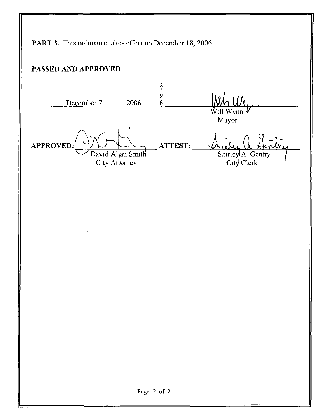PART 3. This ordinance takes effect on December 18, 2006 PASSED AND APPROVED §<br>§<br>§ December 7 ..., 2006  $W\mathfrak{t}_L$ -. ill Mayor APPROVED: ATTEST: David Allan Smith Shirley A Gentry City Attorney CiW Clerk Page 2 of 2